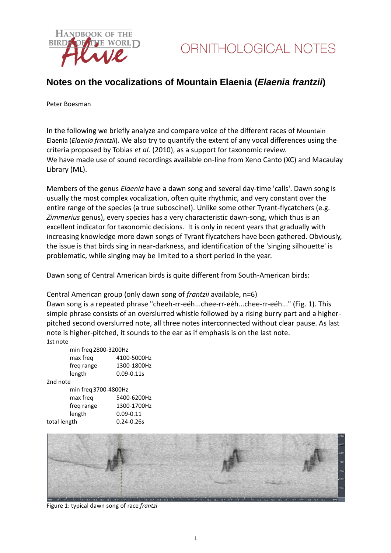

### **Notes on the vocalizations of Mountain Elaenia (***Elaenia frantzii***)**

Peter Boesman

In the following we briefly analyze and compare voice of the different races of Mountain Elaenia (*Elaenia frantzii*)*.* We also try to quantify the extent of any vocal differences using the criteria proposed by Tobias *et al.* (2010), as a support for taxonomic review. We have made use of sound recordings available on-line from Xeno Canto (XC) and Macaulay Library (ML).

Members of the genus *Elaenia* have a dawn song and several day-time 'calls'. Dawn song is usually the most complex vocalization, often quite rhythmic, and very constant over the entire range of the species (a true suboscine!). Unlike some other Tyrant-flycatchers (e.g. *Zimmerius* genus), every species has a very characteristic dawn-song, which thus is an excellent indicator for taxonomic decisions. It is only in recent years that gradually with increasing knowledge more dawn songs of Tyrant flycatchers have been gathered. Obviously, the issue is that birds sing in near-darkness, and identification of the 'singing silhouette' is problematic, while singing may be limited to a short period in the year.

Dawn song of Central American birds is quite different from South-American birds:

#### Central American group (only dawn song of *frantzii* available, n=6)

Dawn song is a repeated phrase "cheeh-rr-eéh...chee-rr-eéh...chee-rr-eéh..." (Fig. 1). This simple phrase consists of an overslurred whistle followed by a rising burry part and a higherpitched second overslurred note, all three notes interconnected without clear pause. As last note is higher-pitched, it sounds to the ear as if emphasis is on the last note. 1st note

| min freq 2800-3200Hz |                |  |
|----------------------|----------------|--|
| max freg             | 4100-5000Hz    |  |
| freg range           | 1300-1800Hz    |  |
| length               | $0.09 - 0.11s$ |  |
|                      |                |  |

2nd note

| min freg 3700-4800Hz |                |
|----------------------|----------------|
| max freg             | 5400-6200Hz    |
| freg range           | 1300-1700Hz    |
| length               | $0.09 - 0.11$  |
| total length         | $0.24 - 0.26s$ |



Figure 1: typical dawn song of race *frantzi*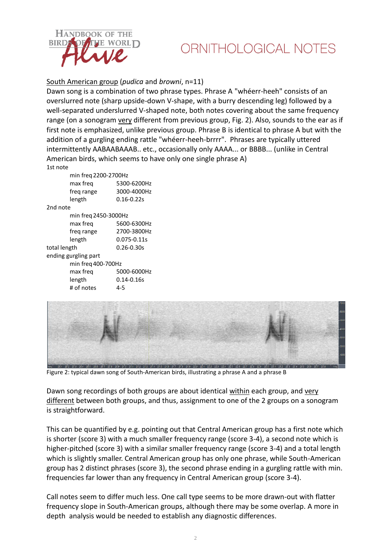

# ORNITHOLOGICAL NOTES

South American group (*pudica* and *browni*, n=11)

Dawn song is a combination of two phrase types. Phrase A "whéerr-heeh" consists of an overslurred note (sharp upside-down V-shape, with a burry descending leg) followed by a well-separated underslurred V-shaped note, both notes covering about the same frequency range (on a sonogram very different from previous group, Fig. 2). Also, sounds to the ear as if first note is emphasized, unlike previous group. Phrase B is identical to phrase A but with the addition of a gurgling ending rattle "whéerr-heeh-brrrr". Phrases are typically uttered intermittently AABAABAAAB.. etc., occasionally only AAAA... or BBBB... (unlike in Central American birds, which seems to have only one single phrase A) 1st note

| min freq 2200-2700Hz |                |  |
|----------------------|----------------|--|
| max freq             | 5300-6200Hz    |  |
| freg range           | 3000-4000Hz    |  |
| length               | $0.16 - 0.22s$ |  |
|                      |                |  |

2nd note

| min freq 2450-3000Hz |                |  |
|----------------------|----------------|--|
| max freg             | 5600-6300Hz    |  |
|                      |                |  |
| freq range           | 2700-3800Hz    |  |
| length               | 0.075-0.11s    |  |
| total length         | $0.26 - 0.30s$ |  |
| ending gurgling part |                |  |
| min freq 400-700Hz   |                |  |
| max freg             | 5000-6000Hz    |  |
| length               | $0.14 - 0.16s$ |  |
| # of notes           | 4-5            |  |



Figure 2: typical dawn song of South-American birds, illustrating a phrase A and a phrase B

Dawn song recordings of both groups are about identical within each group, and very different between both groups, and thus, assignment to one of the 2 groups on a sonogram is straightforward.

This can be quantified by e.g. pointing out that Central American group has a first note which is shorter (score 3) with a much smaller frequency range (score 3-4), a second note which is higher-pitched (score 3) with a similar smaller frequency range (score 3-4) and a total length which is slightly smaller. Central American group has only one phrase, while South-American group has 2 distinct phrases (score 3), the second phrase ending in a gurgling rattle with min. frequencies far lower than any frequency in Central American group (score 3-4).

Call notes seem to differ much less. One call type seems to be more drawn-out with flatter frequency slope in South-American groups, although there may be some overlap. A more in depth analysis would be needed to establish any diagnostic differences.